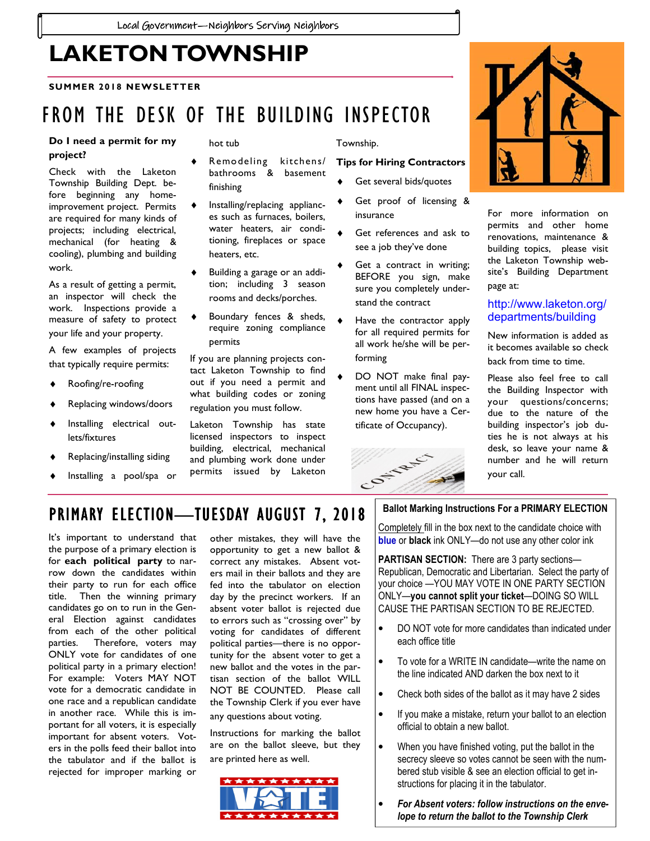# LAKETON TOWNSHIP

#### SUMMER 2018 NEWSLETTER

## FROM THE DESK OF THE BUILDING INSPECTOR

#### Do I need a permit for my project?

Check with the Laketon Township Building Dept. before beginning any homeimprovement project. Permits are required for many kinds of projects; including electrical, mechanical (for heating & cooling), plumbing and building work.

As a result of getting a permit, an inspector will check the work. Inspections provide a measure of safety to protect your life and your property.

A few examples of projects that typically require permits:

- Roofing/re-roofing
- Replacing windows/doors
- Installing electrical outlets/fixtures
- Replacing/installing siding
- Installing a pool/spa or

hot tub

- Remodeling kitchens/ bathrooms & basement finishing
- Installing/replacing appliances such as furnaces, boilers, water heaters, air conditioning, fireplaces or space heaters, etc.
- Building a garage or an addition; including 3 season rooms and decks/porches.
- Boundary fences & sheds, require zoning compliance permits

If you are planning projects contact Laketon Township to find out if you need a permit and what building codes or zoning regulation you must follow.

Laketon Township has state licensed inspectors to inspect building, electrical, mechanical and plumbing work done under permits issued by Laketon

Township.

#### Tips for Hiring Contractors

- Get several bids/quotes
- Get proof of licensing & insurance
- Get references and ask to see a job they've done
- Get a contract in writing; BEFORE you sign, make sure you completely understand the contract
- Have the contractor apply for all required permits for all work he/she will be performing
- DO NOT make final payment until all FINAL inspections have passed (and on a new home you have a Certificate of Occupancy).





For more information on permits and other home renovations, maintenance & building topics, please visit the Laketon Township website's Building Department page at:

#### http://www.laketon.org/ departments/building

New information is added as it becomes available so check back from time to time.

Please also feel free to call the Building Inspector with your questions/concerns; due to the nature of the building inspector's job duties he is not always at his desk, so leave your name & number and he will return your call.

### PRIMARY ELECTION—TUESDAY AUGUST 7, 2018

It's important to understand that the purpose of a primary election is for each political party to narrow down the candidates within their party to run for each office title. Then the winning primary candidates go on to run in the General Election against candidates from each of the other political parties. Therefore, voters may ONLY vote for candidates of one political party in a primary election! For example: Voters MAY NOT vote for a democratic candidate in one race and a republican candidate in another race. While this is important for all voters, it is especially important for absent voters. Voters in the polls feed their ballot into the tabulator and if the ballot is rejected for improper marking or

other mistakes, they will have the opportunity to get a new ballot & correct any mistakes. Absent voters mail in their ballots and they are fed into the tabulator on election day by the precinct workers. If an absent voter ballot is rejected due to errors such as "crossing over" by voting for candidates of different political parties—there is no opportunity for the absent voter to get a new ballot and the votes in the partisan section of the ballot WILL NOT BE COUNTED. Please call the Township Clerk if you ever have any questions about voting.

Instructions for marking the ballot are on the ballot sleeve, but they are printed here as well.



#### Ballot Marking Instructions For a PRIMARY ELECTION

Completely fill in the box next to the candidate choice with blue or black ink ONLY—do not use any other color ink

PARTISAN SECTION: There are 3 party sections-Republican, Democratic and Libertarian. Select the party of your choice —YOU MAY VOTE IN ONE PARTY SECTION ONLY—you cannot split your ticket—DOING SO WILL CAUSE THE PARTISAN SECTION TO BE REJECTED.

- DO NOT vote for more candidates than indicated under each office title
- To vote for a WRITE IN candidate—write the name on the line indicated AND darken the box next to it
- Check both sides of the ballot as it may have 2 sides
- If you make a mistake, return your ballot to an election official to obtain a new ballot.
- When you have finished voting, put the ballot in the secrecy sleeve so votes cannot be seen with the numbered stub visible & see an election official to get instructions for placing it in the tabulator.
- For Absent voters: follow instructions on the envelope to return the ballot to the Township Clerk